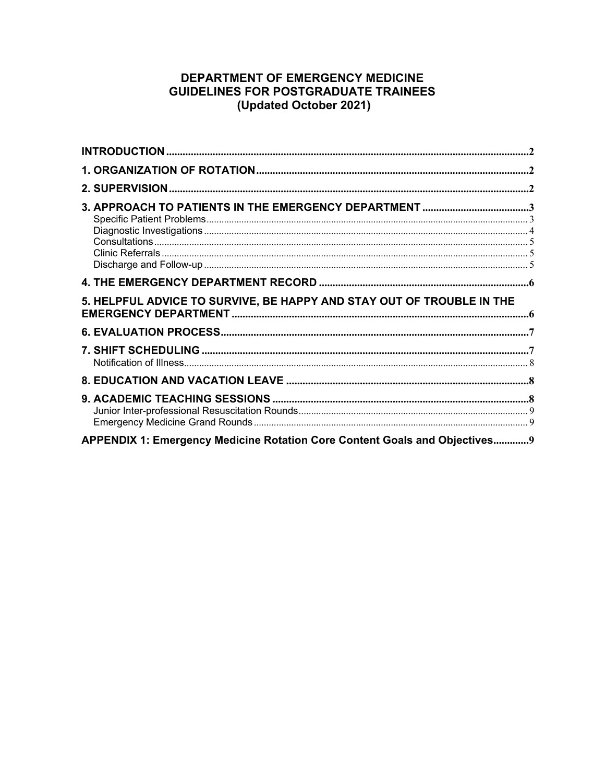# DEPARTMENT OF EMERGENCY MEDICINE **GUIDELINES FOR POSTGRADUATE TRAINEES** (Updated October 2021)

| 3. APPROACH TO PATIENTS IN THE EMERGENCY DEPARTMENT 3                 |  |
|-----------------------------------------------------------------------|--|
|                                                                       |  |
|                                                                       |  |
| 5. HELPFUL ADVICE TO SURVIVE, BE HAPPY AND STAY OUT OF TROUBLE IN THE |  |
|                                                                       |  |
|                                                                       |  |
|                                                                       |  |
|                                                                       |  |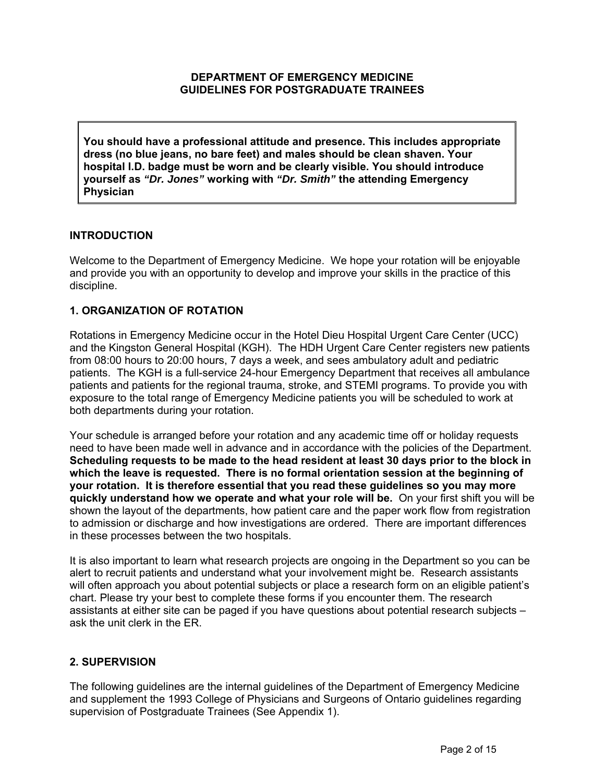#### **DEPARTMENT OF EMERGENCY MEDICINE GUIDELINES FOR POSTGRADUATE TRAINEES**

**You should have a professional attitude and presence. This includes appropriate dress (no blue jeans, no bare feet) and males should be clean shaven. Your hospital I.D. badge must be worn and be clearly visible. You should introduce yourself as** *"Dr. Jones"* **working with** *"Dr. Smith"* **the attending Emergency Physician** 

## **INTRODUCTION**

Welcome to the Department of Emergency Medicine. We hope your rotation will be enjoyable and provide you with an opportunity to develop and improve your skills in the practice of this discipline.

## **1. ORGANIZATION OF ROTATION**

Rotations in Emergency Medicine occur in the Hotel Dieu Hospital Urgent Care Center (UCC) and the Kingston General Hospital (KGH). The HDH Urgent Care Center registers new patients from 08:00 hours to 20:00 hours, 7 days a week, and sees ambulatory adult and pediatric patients. The KGH is a full-service 24-hour Emergency Department that receives all ambulance patients and patients for the regional trauma, stroke, and STEMI programs. To provide you with exposure to the total range of Emergency Medicine patients you will be scheduled to work at both departments during your rotation.

Your schedule is arranged before your rotation and any academic time off or holiday requests need to have been made well in advance and in accordance with the policies of the Department. **Scheduling requests to be made to the head resident at least 30 days prior to the block in which the leave is requested. There is no formal orientation session at the beginning of your rotation. It is therefore essential that you read these guidelines so you may more quickly understand how we operate and what your role will be.** On your first shift you will be shown the layout of the departments, how patient care and the paper work flow from registration to admission or discharge and how investigations are ordered. There are important differences in these processes between the two hospitals.

It is also important to learn what research projects are ongoing in the Department so you can be alert to recruit patients and understand what your involvement might be. Research assistants will often approach you about potential subjects or place a research form on an eligible patient's chart. Please try your best to complete these forms if you encounter them. The research assistants at either site can be paged if you have questions about potential research subjects – ask the unit clerk in the ER.

## **2. SUPERVISION**

The following guidelines are the internal guidelines of the Department of Emergency Medicine and supplement the 1993 College of Physicians and Surgeons of Ontario guidelines regarding supervision of Postgraduate Trainees (See Appendix 1).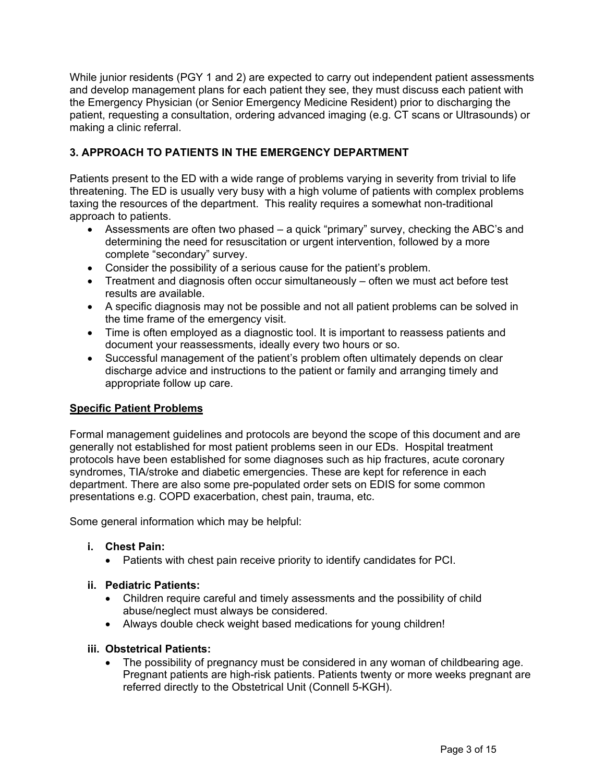While junior residents (PGY 1 and 2) are expected to carry out independent patient assessments and develop management plans for each patient they see, they must discuss each patient with the Emergency Physician (or Senior Emergency Medicine Resident) prior to discharging the patient, requesting a consultation, ordering advanced imaging (e.g. CT scans or Ultrasounds) or making a clinic referral.

# **3. APPROACH TO PATIENTS IN THE EMERGENCY DEPARTMENT**

Patients present to the ED with a wide range of problems varying in severity from trivial to life threatening. The ED is usually very busy with a high volume of patients with complex problems taxing the resources of the department. This reality requires a somewhat non-traditional approach to patients.

- Assessments are often two phased a quick "primary" survey, checking the ABC's and determining the need for resuscitation or urgent intervention, followed by a more complete "secondary" survey.
- Consider the possibility of a serious cause for the patient's problem.
- Treatment and diagnosis often occur simultaneously often we must act before test results are available.
- A specific diagnosis may not be possible and not all patient problems can be solved in the time frame of the emergency visit.
- Time is often employed as a diagnostic tool. It is important to reassess patients and document your reassessments, ideally every two hours or so.
- Successful management of the patient's problem often ultimately depends on clear discharge advice and instructions to the patient or family and arranging timely and appropriate follow up care.

# **Specific Patient Problems**

Formal management guidelines and protocols are beyond the scope of this document and are generally not established for most patient problems seen in our EDs. Hospital treatment protocols have been established for some diagnoses such as hip fractures, acute coronary syndromes, TIA/stroke and diabetic emergencies. These are kept for reference in each department. There are also some pre-populated order sets on EDIS for some common presentations e.g. COPD exacerbation, chest pain, trauma, etc.

Some general information which may be helpful:

## **i. Chest Pain:**

Patients with chest pain receive priority to identify candidates for PCI.

# **ii. Pediatric Patients:**

- Children require careful and timely assessments and the possibility of child abuse/neglect must always be considered.
- Always double check weight based medications for young children!

## **iii. Obstetrical Patients:**

 The possibility of pregnancy must be considered in any woman of childbearing age. Pregnant patients are high-risk patients. Patients twenty or more weeks pregnant are referred directly to the Obstetrical Unit (Connell 5-KGH).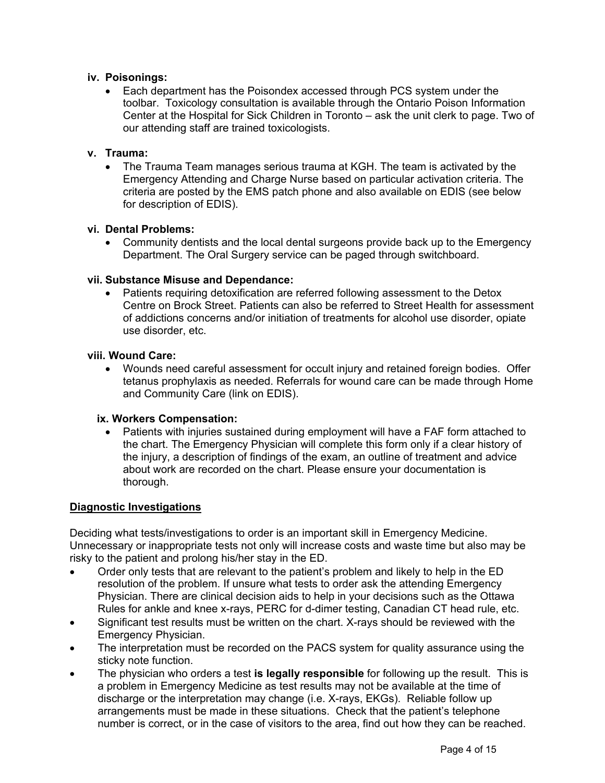## **iv. Poisonings:**

 Each department has the Poisondex accessed through PCS system under the toolbar. Toxicology consultation is available through the Ontario Poison Information Center at the Hospital for Sick Children in Toronto – ask the unit clerk to page. Two of our attending staff are trained toxicologists.

#### **v. Trauma:**

 The Trauma Team manages serious trauma at KGH. The team is activated by the Emergency Attending and Charge Nurse based on particular activation criteria. The criteria are posted by the EMS patch phone and also available on EDIS (see below for description of EDIS).

#### **vi. Dental Problems:**

 Community dentists and the local dental surgeons provide back up to the Emergency Department. The Oral Surgery service can be paged through switchboard.

#### **vii. Substance Misuse and Dependance:**

 Patients requiring detoxification are referred following assessment to the Detox Centre on Brock Street. Patients can also be referred to Street Health for assessment of addictions concerns and/or initiation of treatments for alcohol use disorder, opiate use disorder, etc.

#### **viii. Wound Care:**

 Wounds need careful assessment for occult injury and retained foreign bodies. Offer tetanus prophylaxis as needed. Referrals for wound care can be made through Home and Community Care (link on EDIS).

#### **ix. Workers Compensation:**

 Patients with injuries sustained during employment will have a FAF form attached to the chart. The Emergency Physician will complete this form only if a clear history of the injury, a description of findings of the exam, an outline of treatment and advice about work are recorded on the chart. Please ensure your documentation is thorough.

#### **Diagnostic Investigations**

Deciding what tests/investigations to order is an important skill in Emergency Medicine. Unnecessary or inappropriate tests not only will increase costs and waste time but also may be risky to the patient and prolong his/her stay in the ED.

- Order only tests that are relevant to the patient's problem and likely to help in the ED resolution of the problem. If unsure what tests to order ask the attending Emergency Physician. There are clinical decision aids to help in your decisions such as the Ottawa Rules for ankle and knee x-rays, PERC for d-dimer testing, Canadian CT head rule, etc.
- Significant test results must be written on the chart. X-rays should be reviewed with the Emergency Physician.
- The interpretation must be recorded on the PACS system for quality assurance using the sticky note function.
- The physician who orders a test **is legally responsible** for following up the result. This is a problem in Emergency Medicine as test results may not be available at the time of discharge or the interpretation may change (i.e. X-rays, EKGs). Reliable follow up arrangements must be made in these situations. Check that the patient's telephone number is correct, or in the case of visitors to the area, find out how they can be reached.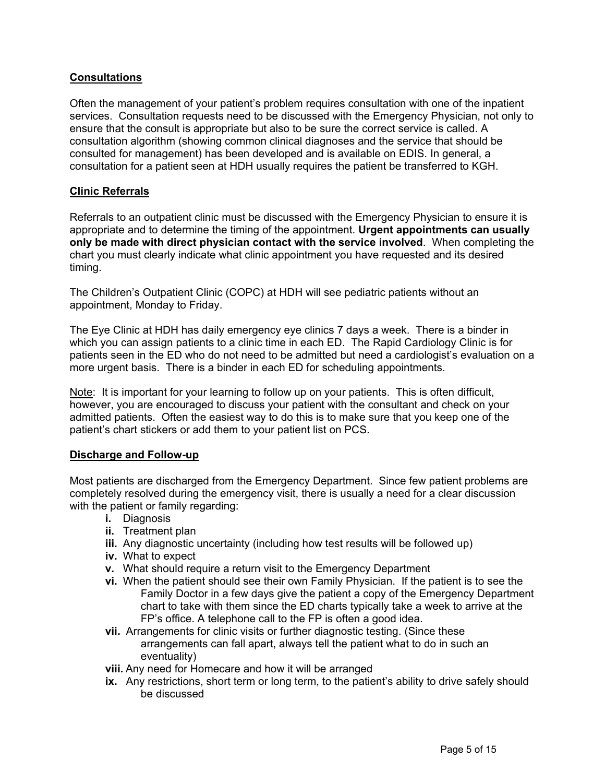## **Consultations**

Often the management of your patient's problem requires consultation with one of the inpatient services. Consultation requests need to be discussed with the Emergency Physician, not only to ensure that the consult is appropriate but also to be sure the correct service is called. A consultation algorithm (showing common clinical diagnoses and the service that should be consulted for management) has been developed and is available on EDIS. In general, a consultation for a patient seen at HDH usually requires the patient be transferred to KGH.

#### **Clinic Referrals**

Referrals to an outpatient clinic must be discussed with the Emergency Physician to ensure it is appropriate and to determine the timing of the appointment. **Urgent appointments can usually only be made with direct physician contact with the service involved**. When completing the chart you must clearly indicate what clinic appointment you have requested and its desired timing.

The Children's Outpatient Clinic (COPC) at HDH will see pediatric patients without an appointment, Monday to Friday.

The Eye Clinic at HDH has daily emergency eye clinics 7 days a week. There is a binder in which you can assign patients to a clinic time in each ED. The Rapid Cardiology Clinic is for patients seen in the ED who do not need to be admitted but need a cardiologist's evaluation on a more urgent basis. There is a binder in each ED for scheduling appointments.

Note: It is important for your learning to follow up on your patients. This is often difficult, however, you are encouraged to discuss your patient with the consultant and check on your admitted patients. Often the easiest way to do this is to make sure that you keep one of the patient's chart stickers or add them to your patient list on PCS.

#### **Discharge and Follow-up**

Most patients are discharged from the Emergency Department. Since few patient problems are completely resolved during the emergency visit, there is usually a need for a clear discussion with the patient or family regarding:

- **i.** Diagnosis
- **ii.** Treatment plan
- **iii.** Any diagnostic uncertainty (including how test results will be followed up)
- **iv.** What to expect
- **v.** What should require a return visit to the Emergency Department
- **vi.** When the patient should see their own Family Physician. If the patient is to see the Family Doctor in a few days give the patient a copy of the Emergency Department chart to take with them since the ED charts typically take a week to arrive at the FP's office. A telephone call to the FP is often a good idea.
- **vii.** Arrangements for clinic visits or further diagnostic testing. (Since these arrangements can fall apart, always tell the patient what to do in such an eventuality)
- **viii.** Any need for Homecare and how it will be arranged
- **ix.** Any restrictions, short term or long term, to the patient's ability to drive safely should be discussed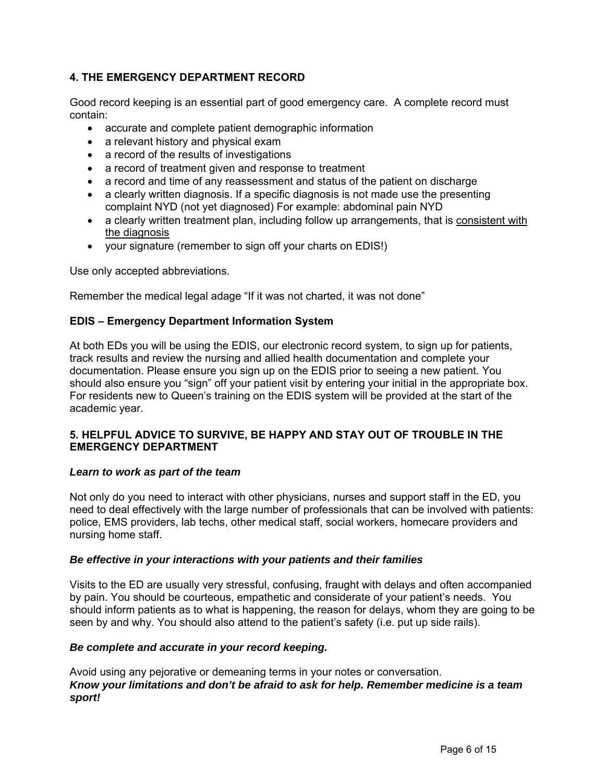# **4. THE EMERGENCY DEPARTMENT RECORD**

Good record keeping is an essential part of good emergency care. A complete record must contain:

- accurate and complete patient demographic information
- a relevant history and physical exam
- a record of the results of investigations
- a record of treatment given and response to treatment
- a record and time of any reassessment and status of the patient on discharge
- a clearly written diagnosis. If a specific diagnosis is not made use the presenting complaint NYD (not yet diagnosed) For example: abdominal pain NYD
- a clearly written treatment plan, including follow up arrangements, that is consistent with the diagnosis
- your signature (remember to sign off your charts on EDIS!)

Use only accepted abbreviations.

Remember the medical legal adage "If it was not charted, it was not done"

## **EDIS – Emergency Department Information System**

At both EDs you will be using the EDIS, our electronic record system, to sign up for patients, track results and review the nursing and allied health documentation and complete your documentation. Please ensure you sign up on the EDIS prior to seeing a new patient. You should also ensure you "sign" off your patient visit by entering your initial in the appropriate box. For residents new to Queen's training on the EDIS system will be provided at the start of the academic year.

#### **5. HELPFUL ADVICE TO SURVIVE, BE HAPPY AND STAY OUT OF TROUBLE IN THE EMERGENCY DEPARTMENT**

#### *Learn to work as part of the team*

Not only do you need to interact with other physicians, nurses and support staff in the ED, you need to deal effectively with the large number of professionals that can be involved with patients: police, EMS providers, lab techs, other medical staff, social workers, homecare providers and nursing home staff.

#### *Be effective in your interactions with your patients and their families*

Visits to the ED are usually very stressful, confusing, fraught with delays and often accompanied by pain. You should be courteous, empathetic and considerate of your patient's needs. You should inform patients as to what is happening, the reason for delays, whom they are going to be seen by and why. You should also attend to the patient's safety (i.e. put up side rails).

#### *Be complete and accurate in your record keeping.*

Avoid using any pejorative or demeaning terms in your notes or conversation. *Know your limitations and don't be afraid to ask for help. Remember medicine is a team sport!*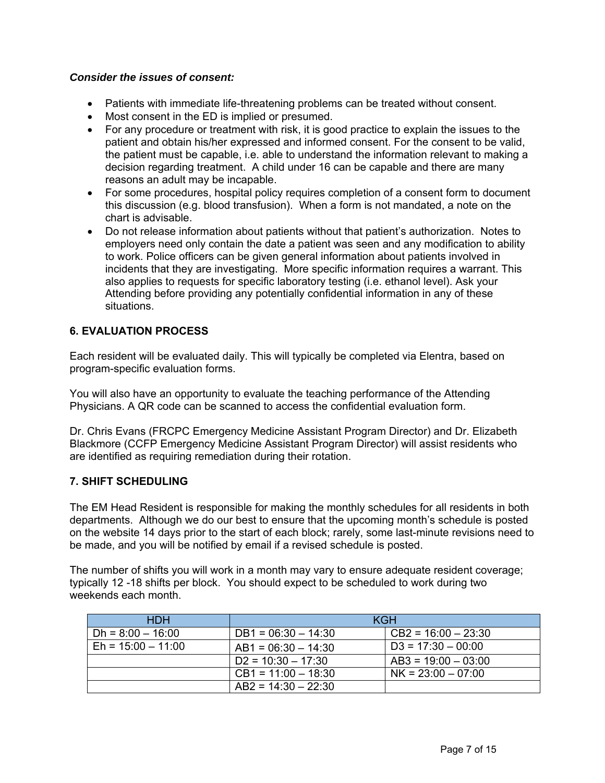### *Consider the issues of consent:*

- Patients with immediate life-threatening problems can be treated without consent.
- Most consent in the ED is implied or presumed.
- For any procedure or treatment with risk, it is good practice to explain the issues to the patient and obtain his/her expressed and informed consent. For the consent to be valid, the patient must be capable, i.e. able to understand the information relevant to making a decision regarding treatment. A child under 16 can be capable and there are many reasons an adult may be incapable.
- For some procedures, hospital policy requires completion of a consent form to document this discussion (e.g. blood transfusion). When a form is not mandated, a note on the chart is advisable.
- Do not release information about patients without that patient's authorization. Notes to employers need only contain the date a patient was seen and any modification to ability to work. Police officers can be given general information about patients involved in incidents that they are investigating. More specific information requires a warrant. This also applies to requests for specific laboratory testing (i.e. ethanol level). Ask your Attending before providing any potentially confidential information in any of these situations.

## **6. EVALUATION PROCESS**

Each resident will be evaluated daily. This will typically be completed via Elentra, based on program-specific evaluation forms.

You will also have an opportunity to evaluate the teaching performance of the Attending Physicians. A QR code can be scanned to access the confidential evaluation form.

Dr. Chris Evans (FRCPC Emergency Medicine Assistant Program Director) and Dr. Elizabeth Blackmore (CCFP Emergency Medicine Assistant Program Director) will assist residents who are identified as requiring remediation during their rotation.

## **7. SHIFT SCHEDULING**

The EM Head Resident is responsible for making the monthly schedules for all residents in both departments. Although we do our best to ensure that the upcoming month's schedule is posted on the website 14 days prior to the start of each block; rarely, some last-minute revisions need to be made, and you will be notified by email if a revised schedule is posted.

The number of shifts you will work in a month may vary to ensure adequate resident coverage; typically 12 -18 shifts per block. You should expect to be scheduled to work during two weekends each month.

| <b>HDH</b>           | KGH                   |                       |
|----------------------|-----------------------|-----------------------|
| $Dh = 8:00 - 16:00$  | $DB1 = 06:30 - 14:30$ | $CB2 = 16:00 - 23:30$ |
| $Eh = 15:00 - 11:00$ | $AB1 = 06:30 - 14:30$ | $D3 = 17:30 - 00:00$  |
|                      | $D2 = 10:30 - 17:30$  | $AB3 = 19:00 - 03:00$ |
|                      | $CB1 = 11:00 - 18:30$ | $NK = 23:00 - 07:00$  |
|                      | $AB2 = 14:30 - 22:30$ |                       |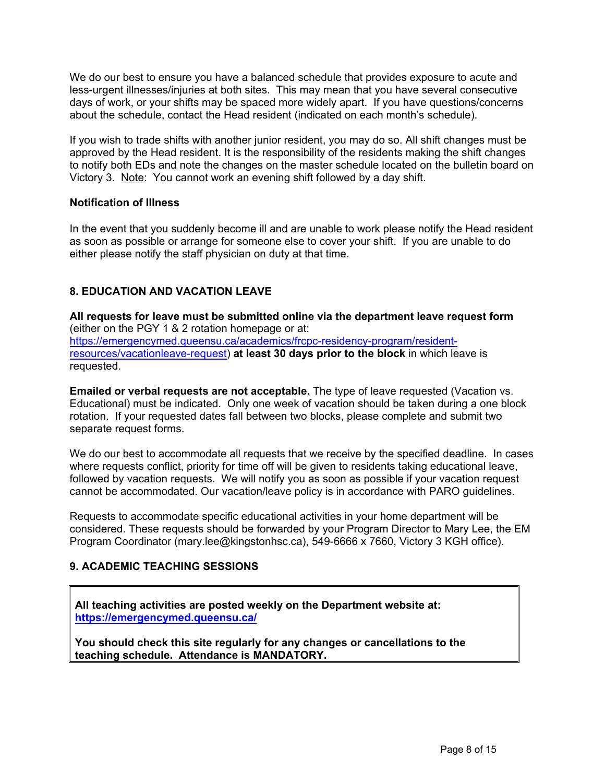We do our best to ensure you have a balanced schedule that provides exposure to acute and less-urgent illnesses/injuries at both sites. This may mean that you have several consecutive days of work, or your shifts may be spaced more widely apart. If you have questions/concerns about the schedule, contact the Head resident (indicated on each month's schedule).

If you wish to trade shifts with another junior resident, you may do so. All shift changes must be approved by the Head resident. It is the responsibility of the residents making the shift changes to notify both EDs and note the changes on the master schedule located on the bulletin board on Victory 3. Note: You cannot work an evening shift followed by a day shift.

#### **Notification of Illness**

In the event that you suddenly become ill and are unable to work please notify the Head resident as soon as possible or arrange for someone else to cover your shift. If you are unable to do either please notify the staff physician on duty at that time.

## **8. EDUCATION AND VACATION LEAVE**

**All requests for leave must be submitted online via the department leave request form** (either on the PGY 1 & 2 rotation homepage or at: https://emergencymed.queensu.ca/academics/frcpc-residency-program/residentresources/vacationleave-request) **at least 30 days prior to the block** in which leave is requested.

**Emailed or verbal requests are not acceptable.** The type of leave requested (Vacation vs. Educational) must be indicated. Only one week of vacation should be taken during a one block rotation. If your requested dates fall between two blocks, please complete and submit two separate request forms.

We do our best to accommodate all requests that we receive by the specified deadline. In cases where requests conflict, priority for time off will be given to residents taking educational leave, followed by vacation requests. We will notify you as soon as possible if your vacation request cannot be accommodated. Our vacation/leave policy is in accordance with PARO guidelines.

Requests to accommodate specific educational activities in your home department will be considered. These requests should be forwarded by your Program Director to Mary Lee, the EM Program Coordinator (mary.lee@kingstonhsc.ca), 549-6666 x 7660, Victory 3 KGH office).

## **9. ACADEMIC TEACHING SESSIONS**

**All teaching activities are posted weekly on the Department website at: https://emergencymed.queensu.ca/**

**You should check this site regularly for any changes or cancellations to the teaching schedule. Attendance is MANDATORY.**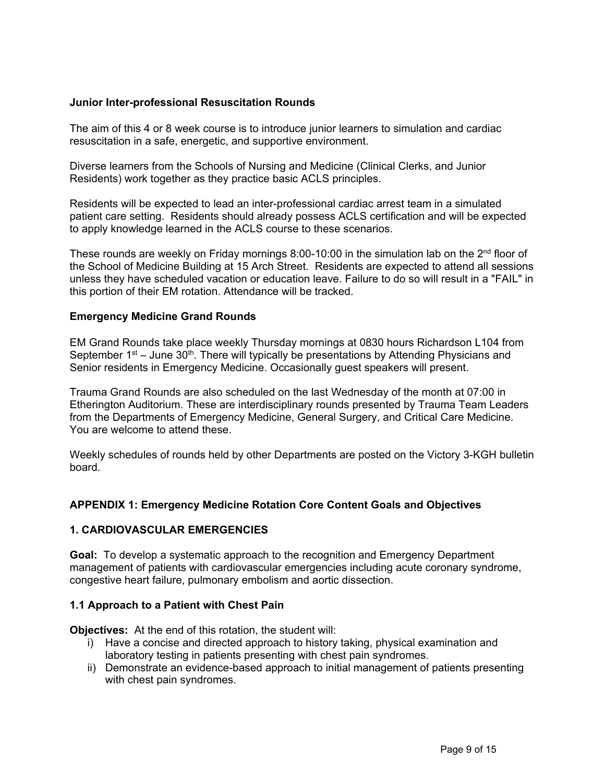#### **Junior Inter-professional Resuscitation Rounds**

The aim of this 4 or 8 week course is to introduce junior learners to simulation and cardiac resuscitation in a safe, energetic, and supportive environment.

Diverse learners from the Schools of Nursing and Medicine (Clinical Clerks, and Junior Residents) work together as they practice basic ACLS principles.

Residents will be expected to lead an inter-professional cardiac arrest team in a simulated patient care setting. Residents should already possess ACLS certification and will be expected to apply knowledge learned in the ACLS course to these scenarios.

These rounds are weekly on Friday mornings 8:00-10:00 in the simulation lab on the  $2<sup>nd</sup>$  floor of the School of Medicine Building at 15 Arch Street. Residents are expected to attend all sessions unless they have scheduled vacation or education leave. Failure to do so will result in a "FAIL" in this portion of their EM rotation. Attendance will be tracked.

#### **Emergency Medicine Grand Rounds**

EM Grand Rounds take place weekly Thursday mornings at 0830 hours Richardson L104 from September  $1<sup>st</sup>$  – June 30<sup>th</sup>. There will typically be presentations by Attending Physicians and Senior residents in Emergency Medicine. Occasionally guest speakers will present.

Trauma Grand Rounds are also scheduled on the last Wednesday of the month at 07:00 in Etherington Auditorium. These are interdisciplinary rounds presented by Trauma Team Leaders from the Departments of Emergency Medicine, General Surgery, and Critical Care Medicine. You are welcome to attend these.

Weekly schedules of rounds held by other Departments are posted on the Victory 3-KGH bulletin board.

#### **APPENDIX 1: Emergency Medicine Rotation Core Content Goals and Objectives**

#### **1. CARDIOVASCULAR EMERGENCIES**

**Goal:** To develop a systematic approach to the recognition and Emergency Department management of patients with cardiovascular emergencies including acute coronary syndrome, congestive heart failure, pulmonary embolism and aortic dissection.

#### **1.1 Approach to a Patient with Chest Pain**

**Objectives:** At the end of this rotation, the student will:

- i) Have a concise and directed approach to history taking, physical examination and laboratory testing in patients presenting with chest pain syndromes.
- ii) Demonstrate an evidence-based approach to initial management of patients presenting with chest pain syndromes.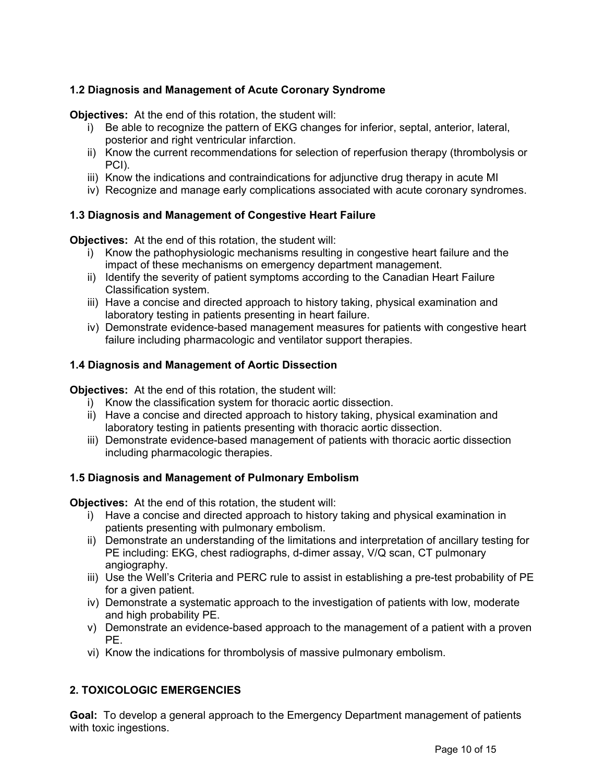# **1.2 Diagnosis and Management of Acute Coronary Syndrome**

**Objectives:** At the end of this rotation, the student will:

- i) Be able to recognize the pattern of EKG changes for inferior, septal, anterior, lateral, posterior and right ventricular infarction.
- ii) Know the current recommendations for selection of reperfusion therapy (thrombolysis or PCI).
- iii) Know the indications and contraindications for adjunctive drug therapy in acute MI
- iv) Recognize and manage early complications associated with acute coronary syndromes.

# **1.3 Diagnosis and Management of Congestive Heart Failure**

**Objectives:** At the end of this rotation, the student will:

- i) Know the pathophysiologic mechanisms resulting in congestive heart failure and the impact of these mechanisms on emergency department management.
- ii) Identify the severity of patient symptoms according to the Canadian Heart Failure Classification system.
- iii) Have a concise and directed approach to history taking, physical examination and laboratory testing in patients presenting in heart failure.
- iv) Demonstrate evidence-based management measures for patients with congestive heart failure including pharmacologic and ventilator support therapies.

## **1.4 Diagnosis and Management of Aortic Dissection**

**Objectives:** At the end of this rotation, the student will:

- i) Know the classification system for thoracic aortic dissection.
- ii) Have a concise and directed approach to history taking, physical examination and laboratory testing in patients presenting with thoracic aortic dissection.
- iii) Demonstrate evidence-based management of patients with thoracic aortic dissection including pharmacologic therapies.

## **1.5 Diagnosis and Management of Pulmonary Embolism**

**Objectives:** At the end of this rotation, the student will:

- i) Have a concise and directed approach to history taking and physical examination in patients presenting with pulmonary embolism.
- ii) Demonstrate an understanding of the limitations and interpretation of ancillary testing for PE including: EKG, chest radiographs, d-dimer assay, V/Q scan, CT pulmonary angiography.
- iii) Use the Well's Criteria and PERC rule to assist in establishing a pre-test probability of PE for a given patient.
- iv) Demonstrate a systematic approach to the investigation of patients with low, moderate and high probability PE.
- v) Demonstrate an evidence-based approach to the management of a patient with a proven PE.
- vi) Know the indications for thrombolysis of massive pulmonary embolism.

# **2. TOXICOLOGIC EMERGENCIES**

**Goal:** To develop a general approach to the Emergency Department management of patients with toxic ingestions.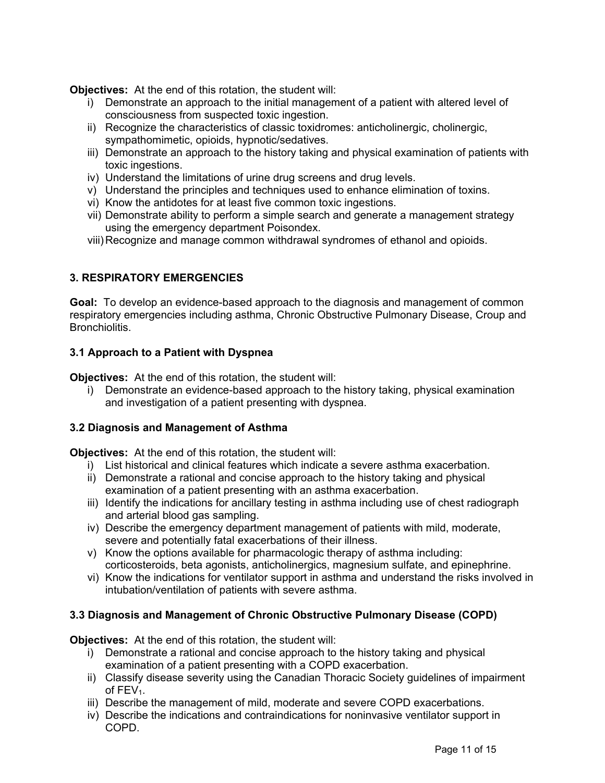**Objectives:** At the end of this rotation, the student will:

- i) Demonstrate an approach to the initial management of a patient with altered level of consciousness from suspected toxic ingestion.
- ii) Recognize the characteristics of classic toxidromes: anticholinergic, cholinergic, sympathomimetic, opioids, hypnotic/sedatives.
- iii) Demonstrate an approach to the history taking and physical examination of patients with toxic ingestions.
- iv) Understand the limitations of urine drug screens and drug levels.
- v) Understand the principles and techniques used to enhance elimination of toxins.
- vi) Know the antidotes for at least five common toxic ingestions.
- vii) Demonstrate ability to perform a simple search and generate a management strategy using the emergency department Poisondex.
- viii) Recognize and manage common withdrawal syndromes of ethanol and opioids.

## **3. RESPIRATORY EMERGENCIES**

**Goal:** To develop an evidence-based approach to the diagnosis and management of common respiratory emergencies including asthma, Chronic Obstructive Pulmonary Disease, Croup and Bronchiolitis.

## **3.1 Approach to a Patient with Dyspnea**

**Objectives:** At the end of this rotation, the student will:

i) Demonstrate an evidence-based approach to the history taking, physical examination and investigation of a patient presenting with dyspnea.

## **3.2 Diagnosis and Management of Asthma**

**Objectives:** At the end of this rotation, the student will:

- i) List historical and clinical features which indicate a severe asthma exacerbation.
- ii) Demonstrate a rational and concise approach to the history taking and physical examination of a patient presenting with an asthma exacerbation.
- iii) Identify the indications for ancillary testing in asthma including use of chest radiograph and arterial blood gas sampling.
- iv) Describe the emergency department management of patients with mild, moderate, severe and potentially fatal exacerbations of their illness.
- v) Know the options available for pharmacologic therapy of asthma including: corticosteroids, beta agonists, anticholinergics, magnesium sulfate, and epinephrine.
- vi) Know the indications for ventilator support in asthma and understand the risks involved in intubation/ventilation of patients with severe asthma.

## **3.3 Diagnosis and Management of Chronic Obstructive Pulmonary Disease (COPD)**

**Objectives:** At the end of this rotation, the student will:

- i) Demonstrate a rational and concise approach to the history taking and physical examination of a patient presenting with a COPD exacerbation.
- ii) Classify disease severity using the Canadian Thoracic Society guidelines of impairment of  $FEV<sub>1</sub>$ .
- iii) Describe the management of mild, moderate and severe COPD exacerbations.
- iv) Describe the indications and contraindications for noninvasive ventilator support in COPD.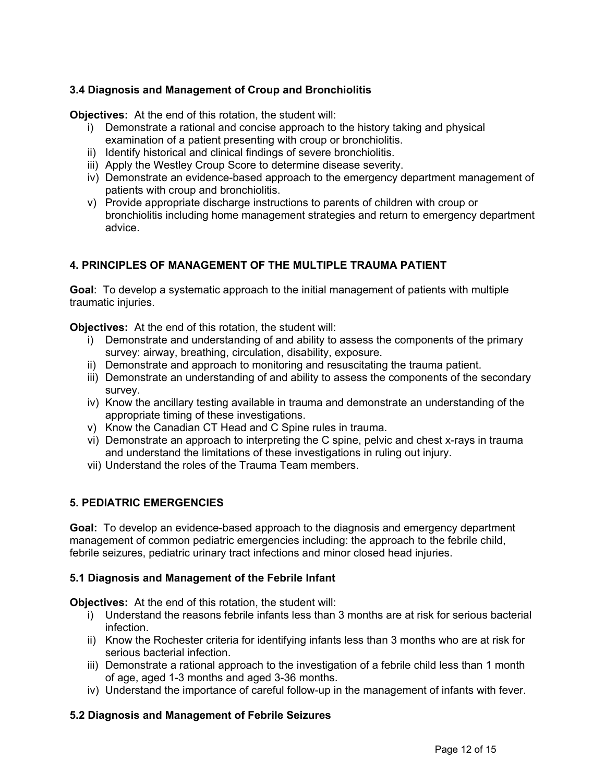## **3.4 Diagnosis and Management of Croup and Bronchiolitis**

**Objectives:** At the end of this rotation, the student will:

- i) Demonstrate a rational and concise approach to the history taking and physical examination of a patient presenting with croup or bronchiolitis.
- ii) Identify historical and clinical findings of severe bronchiolitis.
- iii) Apply the Westley Croup Score to determine disease severity.
- iv) Demonstrate an evidence-based approach to the emergency department management of patients with croup and bronchiolitis.
- v) Provide appropriate discharge instructions to parents of children with croup or bronchiolitis including home management strategies and return to emergency department advice.

# **4. PRINCIPLES OF MANAGEMENT OF THE MULTIPLE TRAUMA PATIENT**

**Goal**: To develop a systematic approach to the initial management of patients with multiple traumatic injuries.

**Objectives:** At the end of this rotation, the student will:

- i) Demonstrate and understanding of and ability to assess the components of the primary survey: airway, breathing, circulation, disability, exposure.
- ii) Demonstrate and approach to monitoring and resuscitating the trauma patient.
- iii) Demonstrate an understanding of and ability to assess the components of the secondary survey.
- iv) Know the ancillary testing available in trauma and demonstrate an understanding of the appropriate timing of these investigations.
- v) Know the Canadian CT Head and C Spine rules in trauma.
- vi) Demonstrate an approach to interpreting the C spine, pelvic and chest x-rays in trauma and understand the limitations of these investigations in ruling out injury.
- vii) Understand the roles of the Trauma Team members.

## **5. PEDIATRIC EMERGENCIES**

**Goal:** To develop an evidence-based approach to the diagnosis and emergency department management of common pediatric emergencies including: the approach to the febrile child, febrile seizures, pediatric urinary tract infections and minor closed head injuries.

#### **5.1 Diagnosis and Management of the Febrile Infant**

**Objectives:** At the end of this rotation, the student will:

- i) Understand the reasons febrile infants less than 3 months are at risk for serious bacterial infection.
- ii) Know the Rochester criteria for identifying infants less than 3 months who are at risk for serious bacterial infection.
- iii) Demonstrate a rational approach to the investigation of a febrile child less than 1 month of age, aged 1-3 months and aged 3-36 months.
- iv) Understand the importance of careful follow-up in the management of infants with fever.

## **5.2 Diagnosis and Management of Febrile Seizures**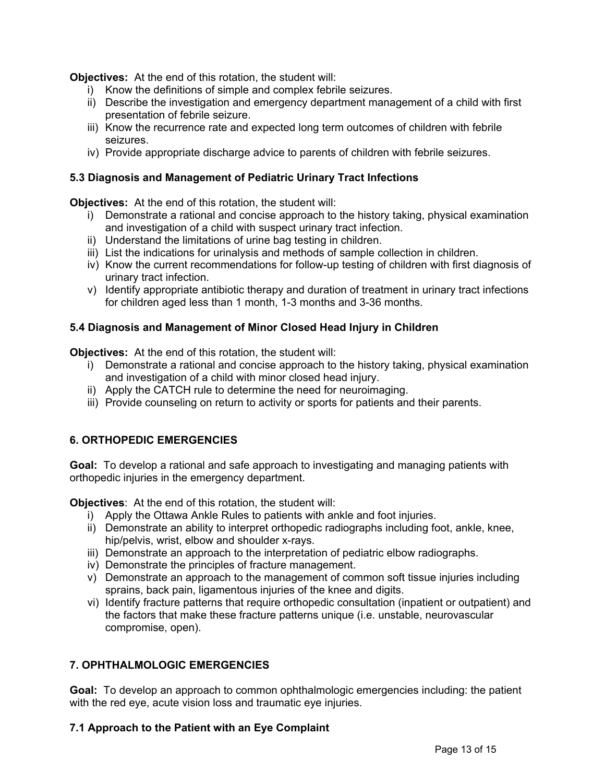**Objectives:** At the end of this rotation, the student will:

- i) Know the definitions of simple and complex febrile seizures.
- ii) Describe the investigation and emergency department management of a child with first presentation of febrile seizure.
- iii) Know the recurrence rate and expected long term outcomes of children with febrile seizures.
- iv) Provide appropriate discharge advice to parents of children with febrile seizures.

#### **5.3 Diagnosis and Management of Pediatric Urinary Tract Infections**

**Objectives:** At the end of this rotation, the student will:

- i) Demonstrate a rational and concise approach to the history taking, physical examination and investigation of a child with suspect urinary tract infection.
- ii) Understand the limitations of urine bag testing in children.
- iii) List the indications for urinalysis and methods of sample collection in children.
- iv) Know the current recommendations for follow-up testing of children with first diagnosis of urinary tract infection.
- v) Identify appropriate antibiotic therapy and duration of treatment in urinary tract infections for children aged less than 1 month, 1-3 months and 3-36 months.

#### **5.4 Diagnosis and Management of Minor Closed Head Injury in Children**

**Objectives:** At the end of this rotation, the student will:

- i) Demonstrate a rational and concise approach to the history taking, physical examination and investigation of a child with minor closed head injury.
- ii) Apply the CATCH rule to determine the need for neuroimaging.
- iii) Provide counseling on return to activity or sports for patients and their parents.

## **6. ORTHOPEDIC EMERGENCIES**

**Goal:** To develop a rational and safe approach to investigating and managing patients with orthopedic injuries in the emergency department.

**Objectives**: At the end of this rotation, the student will:

- i) Apply the Ottawa Ankle Rules to patients with ankle and foot injuries.
- ii) Demonstrate an ability to interpret orthopedic radiographs including foot, ankle, knee, hip/pelvis, wrist, elbow and shoulder x-rays.
- iii) Demonstrate an approach to the interpretation of pediatric elbow radiographs.
- iv) Demonstrate the principles of fracture management.
- v) Demonstrate an approach to the management of common soft tissue injuries including sprains, back pain, ligamentous injuries of the knee and digits.
- vi) Identify fracture patterns that require orthopedic consultation (inpatient or outpatient) and the factors that make these fracture patterns unique (i.e. unstable, neurovascular compromise, open).

## **7. OPHTHALMOLOGIC EMERGENCIES**

**Goal:** To develop an approach to common ophthalmologic emergencies including: the patient with the red eye, acute vision loss and traumatic eye injuries.

## **7.1 Approach to the Patient with an Eye Complaint**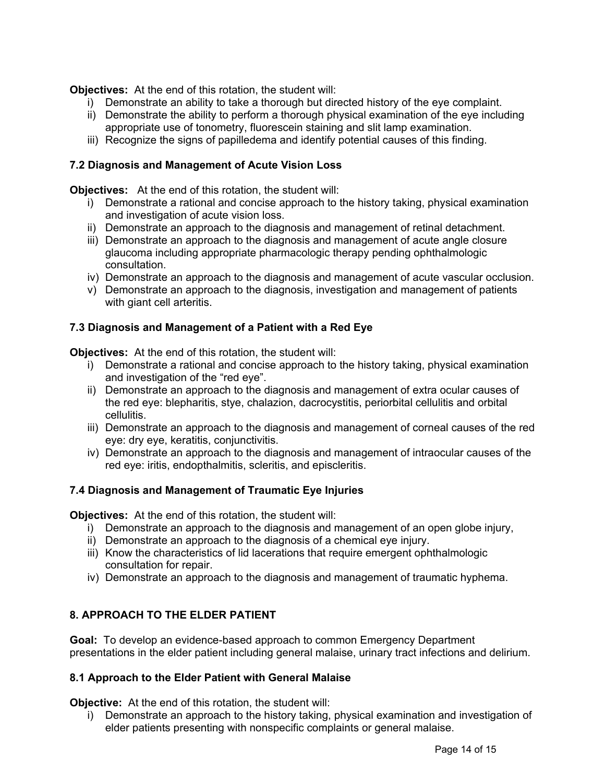**Objectives:** At the end of this rotation, the student will:

- i) Demonstrate an ability to take a thorough but directed history of the eye complaint.
- ii) Demonstrate the ability to perform a thorough physical examination of the eye including appropriate use of tonometry, fluorescein staining and slit lamp examination.
- iii) Recognize the signs of papilledema and identify potential causes of this finding.

## **7.2 Diagnosis and Management of Acute Vision Loss**

**Objectives:** At the end of this rotation, the student will:

- i) Demonstrate a rational and concise approach to the history taking, physical examination and investigation of acute vision loss.
- ii) Demonstrate an approach to the diagnosis and management of retinal detachment.
- iii) Demonstrate an approach to the diagnosis and management of acute angle closure glaucoma including appropriate pharmacologic therapy pending ophthalmologic consultation.
- iv) Demonstrate an approach to the diagnosis and management of acute vascular occlusion.
- v) Demonstrate an approach to the diagnosis, investigation and management of patients with giant cell arteritis.

## **7.3 Diagnosis and Management of a Patient with a Red Eye**

**Objectives:** At the end of this rotation, the student will:

- i) Demonstrate a rational and concise approach to the history taking, physical examination and investigation of the "red eye".
- ii) Demonstrate an approach to the diagnosis and management of extra ocular causes of the red eye: blepharitis, stye, chalazion, dacrocystitis, periorbital cellulitis and orbital cellulitis.
- iii) Demonstrate an approach to the diagnosis and management of corneal causes of the red eye: dry eye, keratitis, conjunctivitis.
- iv) Demonstrate an approach to the diagnosis and management of intraocular causes of the red eye: iritis, endopthalmitis, scleritis, and episcleritis.

## **7.4 Diagnosis and Management of Traumatic Eye Injuries**

**Objectives:** At the end of this rotation, the student will:

- i) Demonstrate an approach to the diagnosis and management of an open globe injury,
- ii) Demonstrate an approach to the diagnosis of a chemical eye injury.
- iii) Know the characteristics of lid lacerations that require emergent ophthalmologic consultation for repair.
- iv) Demonstrate an approach to the diagnosis and management of traumatic hyphema.

# **8. APPROACH TO THE ELDER PATIENT**

**Goal:** To develop an evidence-based approach to common Emergency Department presentations in the elder patient including general malaise, urinary tract infections and delirium.

## **8.1 Approach to the Elder Patient with General Malaise**

**Objective:** At the end of this rotation, the student will:

i) Demonstrate an approach to the history taking, physical examination and investigation of elder patients presenting with nonspecific complaints or general malaise.